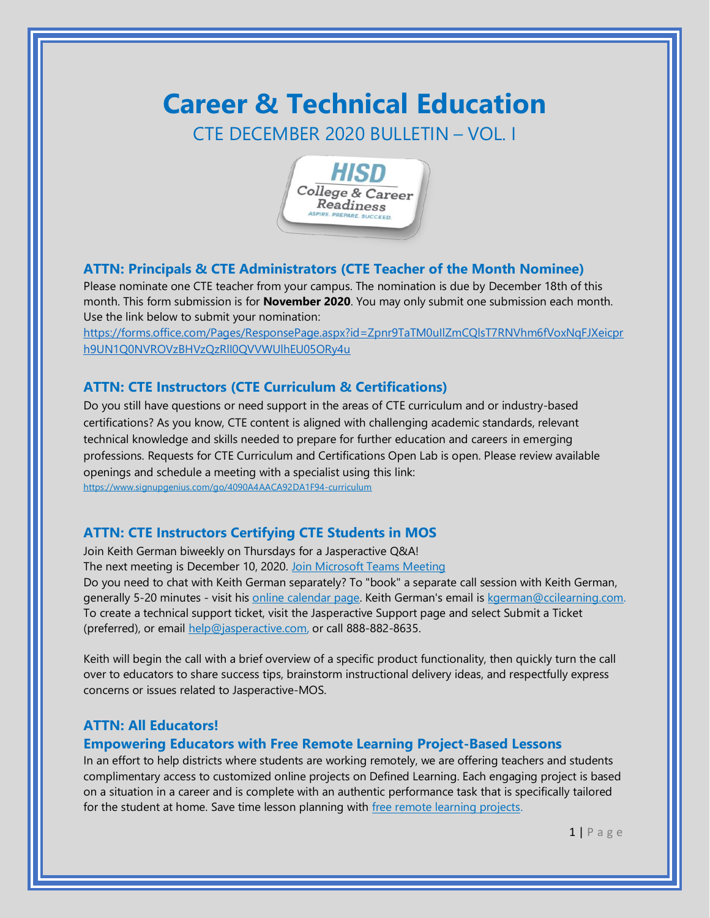# **Career & Technical Education** CTE DECEMBER 2020 BULLETIN – VOL. I



## **ATTN: Principals & CTE Administrators (CTE Teacher of the Month Nominee)**

Please nominate one CTE teacher from your campus. The nomination is due by December 18th of this month. This form submission is for **November 2020**. You may only submit one submission each month. Use the link below to submit your nomination:

[https://forms.office.com/Pages/ResponsePage.aspx?id=Zpnr9TaTM0uIlZmCQlsT7RNVhm6fVoxNqFJXeicpr](https://forms.office.com/Pages/ResponsePage.aspx?id=Zpnr9TaTM0uIlZmCQlsT7RNVhm6fVoxNqFJXeicprh9UN1Q0NVROVzBHVzQzRlI0QVVWUlhEU05ORy4u) [h9UN1Q0NVROVzBHVzQzRlI0QVVWUlhEU05ORy4u](https://forms.office.com/Pages/ResponsePage.aspx?id=Zpnr9TaTM0uIlZmCQlsT7RNVhm6fVoxNqFJXeicprh9UN1Q0NVROVzBHVzQzRlI0QVVWUlhEU05ORy4u)

# **ATTN: CTE Instructors (CTE Curriculum & Certifications)**

Do you still have questions or need support in the areas of CTE curriculum and or industry-based certifications? As you know, CTE content is aligned with challenging academic standards, relevant technical knowledge and skills needed to prepare for further education and careers in emerging professions. Requests for CTE Curriculum and Certifications Open Lab is open. Please review available openings and schedule a meeting with a specialist using this link: <https://www.signupgenius.com/go/4090A4AACA92DA1F94-curriculum>

## **ATTN: CTE Instructors Certifying CTE Students in MOS**

Join Keith German biweekly on Thursdays for a Jasperactive Q&A! The next meeting is December 10, 2020. [Join Microsoft Teams Meeting](https://teams.microsoft.com/l/meetup-join/19%3ameeting_ZGQwODgyZDItMzU4Zi00NzdlLThjYWMtNzQ3N2Q4NjJkZjQ3%40thread.v2/0?context=%7b%22Tid%22%3a%22f5eb9966-9336-4b33-8895-9982425b13ed%22%2c%22Oid%22%3a%226e865513-569f-4d8c-a852-577a2729ae1f%22%7d) Do you need to chat with Keith German separately? To "book" a separate call session with Keith German, generally 5-20 minutes - visit hi[s online calendar page.](https://outlook.office365.com/owa/calendar/CCILearning3@ccilearning.com/bookings/) Keith German's email is [kgerman@ccilearning.com.](mailto:kgerman@ccilearning.com) To create a technical support ticket, visit the Jasperactive Support page and select Submit a Ticket (preferred), or email [help@jasperactive.com,](mailto:help@jasperactive.com) or call 888-882-8635.

Keith will begin the call with a brief overview of a specific product functionality, then quickly turn the call over to educators to share success tips, brainstorm instructional delivery ideas, and respectfully express concerns or issues related to Jasperactive-MOS.

## **ATTN: All Educators!**

#### **Empowering Educators with Free Remote Learning Project-Based Lessons**

In an effort to help districts where students are working remotely, we are offering teachers and students complimentary access to customized online projects on Defined Learning. Each engaging project is based on a situation in a career and is complete with an authentic performance task that is specifically tailored for the student at home. Save time lesson planning with [free remote learning projects.](https://hs-7033206.t.hubspotemail.net/e2t/tc/VWJnr-4m_GrnW1VYlCs6135QqW2z6fd_4k3cVbMSn_nX3lGn5V1-WJV7CgK09W5RPRfh3Xkf_fW5s15vJ1R-J_TW5CZCqS39Xn7xW1wfY9m2Wp7RYW7rSd-05PSHxMN6f9rPZLpQwxW59VNSK30h-xsW5MWM8M8xcyqTW1NbBYZ7R85JjW6571vG2kWj2nW5Ch_hn6r3kgKW4kMBF37xG5D_W6wPWcw93x_2cW12n03W1N2kL3W81mWsf7r93NpN2GgGVMrqbG5W7H5BPV91PnfmW7PpLrR6j18vLW21XQqg2DtnBgN16dQ53mz2WfW2M7LZ04G6SCgW1z7JgB8tqcQKW8fdG865yFZ3CW7XBpyx3zHx4d3k301)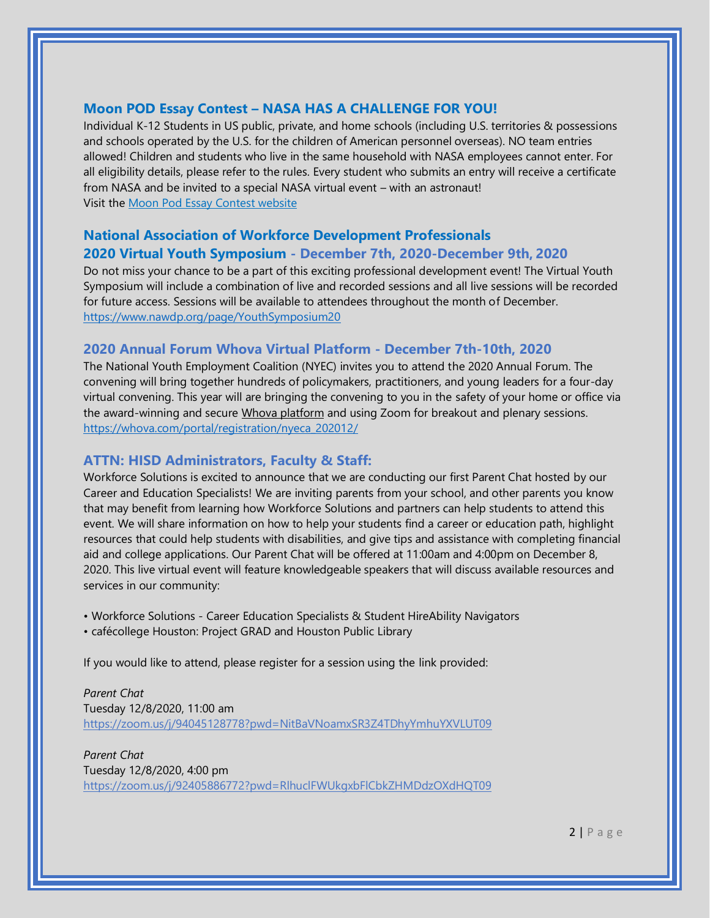## **Moon POD Essay Contest – NASA HAS A CHALLENGE FOR YOU!**

Individual K-12 Students in US public, private, and home schools (including U.S. territories & possessions and schools operated by the U.S. for the children of American personnel overseas). NO team entries allowed! Children and students who live in the same household with NASA employees cannot enter. For all eligibility details, please refer to the rules. Every student who submits an entry will receive a certificate from NASA and be invited to a special NASA virtual event – with an astronaut! Visit the [Moon Pod Essay Contest website](https://lnks.gd/l/eyJhbGciOiJIUzI1NiJ9.eyJidWxsZXRpbl9saW5rX2lkIjoxMDIsInVyaSI6ImJwMjpjbGljayIsImJ1bGxldGluX2lkIjoiMjAyMDExMjMuMzA5ODQ5NTEiLCJ1cmwiOiJodHRwczovL3d3dy5mdXR1cmVlbmdpbmVlcnMub3JnL2FydGVtaXNtb29ucG9kZXNzYXk_dXRtX2NvbnRlbnQ9JnV0bV9tZWRpdW09ZW1haWwmdXRtX25hbWU9JnV0bV9zb3VyY2U9Z292ZGVsaXZlcnkmdXRtX3Rlcm09In0.LYoZpxti2KRzTPRrB1Q1TSMqPYToqI8mvpO6hG3Rk08/s/1109303249/br/90293874029-l)

## **National Association of Workforce Development Professionals**

## **2020 Virtual Youth Symposium - December 7th, 2020-December 9th, 2020**

Do not miss your chance to be a part of this exciting professional development event! The Virtual Youth Symposium will include a combination of live and recorded sessions and all live sessions will be recorded for future access. Sessions will be available to attendees throughout the month of December. <https://www.nawdp.org/page/YouthSymposium20>

## **2020 Annual Forum Whova Virtual Platform - December 7th-10th, 2020**

The National Youth Employment Coalition (NYEC) invites you to attend the 2020 Annual Forum. The convening will bring together hundreds of policymakers, practitioners, and young leaders for a four-day virtual convening. This year will are bringing the convening to you in the safety of your home or office via the award-winning and secure [Whova platform](https://whova.com/virtual-conference-platform/) and using Zoom for breakout and plenary sessions. [https://whova.com/portal/registration/nyeca\\_202012/](https://whova.com/portal/registration/nyeca_202012/)

#### **ATTN: HISD Administrators, Faculty & Staff:**

Workforce Solutions is excited to announce that we are conducting our first Parent Chat hosted by our Career and Education Specialists! We are inviting parents from your school, and other parents you know that may benefit from learning how Workforce Solutions and partners can help students to attend this event. We will share information on how to help your students find a career or education path, highlight resources that could help students with disabilities, and give tips and assistance with completing financial aid and college applications. Our Parent Chat will be offered at 11:00am and 4:00pm on December 8, 2020. This live virtual event will feature knowledgeable speakers that will discuss available resources and services in our community:

- Workforce Solutions Career Education Specialists & Student HireAbility Navigators
- cafécollege Houston: Project GRAD and Houston Public Library

If you would like to attend, please register for a session using the link provided:

*Parent Chat* Tuesday 12/8/2020, 11:00 am <https://zoom.us/j/94045128778?pwd=NitBaVNoamxSR3Z4TDhyYmhuYXVLUT09>

*Parent Chat* Tuesday 12/8/2020, 4:00 pm <https://zoom.us/j/92405886772?pwd=RlhuclFWUkgxbFlCbkZHMDdzOXdHQT09>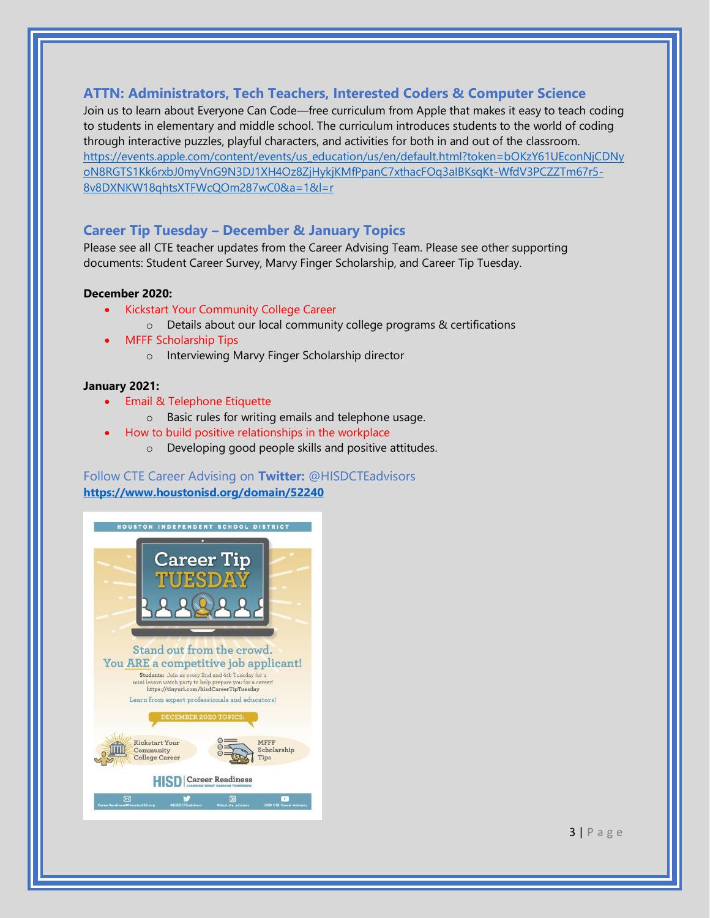### **ATTN: Administrators, Tech Teachers, Interested Coders & Computer Science**

Join us to learn about Everyone Can Code—free curriculum from Apple that makes it easy to teach coding to students in elementary and middle school. The curriculum introduces students to the world of coding through interactive puzzles, playful characters, and activities for both in and out of the classroom. [https://events.apple.com/content/events/us\\_education/us/en/default.html?token=bOKzY61UEconNjCDNy](https://events.apple.com/content/events/us_education/us/en/default.html?token=bOKzY61UEconNjCDNyoN8RGTS1Kk6rxbJ0myVnG9N3DJ1XH4Oz8ZjHykjKMfPpanC7xthacFOq3aIBKsqKt-WfdV3PCZZTm67r5-8v8DXNKW18qhtsXTFWcQOm287wC0&a=1&l=r) [oN8RGTS1Kk6rxbJ0myVnG9N3DJ1XH4Oz8ZjHykjKMfPpanC7xthacFOq3aIBKsqKt-WfdV3PCZZTm67r5-](https://events.apple.com/content/events/us_education/us/en/default.html?token=bOKzY61UEconNjCDNyoN8RGTS1Kk6rxbJ0myVnG9N3DJ1XH4Oz8ZjHykjKMfPpanC7xthacFOq3aIBKsqKt-WfdV3PCZZTm67r5-8v8DXNKW18qhtsXTFWcQOm287wC0&a=1&l=r) [8v8DXNKW18qhtsXTFWcQOm287wC0&a=1&l=r](https://events.apple.com/content/events/us_education/us/en/default.html?token=bOKzY61UEconNjCDNyoN8RGTS1Kk6rxbJ0myVnG9N3DJ1XH4Oz8ZjHykjKMfPpanC7xthacFOq3aIBKsqKt-WfdV3PCZZTm67r5-8v8DXNKW18qhtsXTFWcQOm287wC0&a=1&l=r)

#### **Career Tip Tuesday – December & January Topics**

Please see all CTE teacher updates from the Career Advising Team. Please see other supporting documents: Student Career Survey, Marvy Finger Scholarship, and Career Tip Tuesday.

#### **December 2020:**

- Kickstart Your Community College Career
	- o Details about our local community college programs & certifications
- MFFF Scholarship Tips
	- o Interviewing Marvy Finger Scholarship director

#### **January 2021:**

- Email & Telephone Etiquette
	- o Basic rules for writing emails and telephone usage.
	- How to build positive relationships in the workplace
		- o Developing good people skills and positive attitudes.

#### Follow CTE Career Advising on **Twitter:** @HISDCTEadvisors **<https://www.houstonisd.org/domain/52240>**



 $3 | P \text{ age}$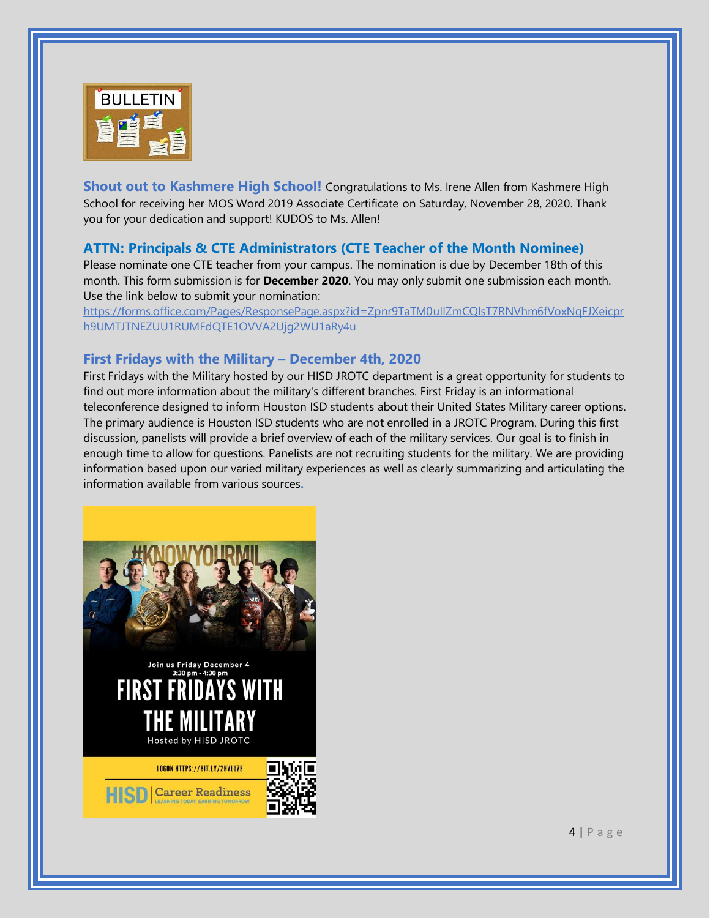

**Shout out to Kashmere High School!** Congratulations to Ms. Irene Allen from Kashmere High School for receiving her MOS Word 2019 Associate Certificate on Saturday, November 28, 2020. Thank you for your dedication and support! KUDOS to Ms. Allen!

## **ATTN: Principals & CTE Administrators (CTE Teacher of the Month Nominee)**

Please nominate one CTE teacher from your campus. The nomination is due by December 18th of this month. This form submission is for **December 2020**. You may only submit one submission each month. Use the link below to submit your nomination:

[https://forms.office.com/Pages/ResponsePage.aspx?id=Zpnr9TaTM0uIlZmCQlsT7RNVhm6fVoxNqFJXeicpr](https://forms.office.com/Pages/ResponsePage.aspx?id=Zpnr9TaTM0uIlZmCQlsT7RNVhm6fVoxNqFJXeicprh9UMTJTNEZUU1RUMFdQTE1OVVA2Ujg2WU1aRy4u) [h9UMTJTNEZUU1RUMFdQTE1OVVA2Ujg2WU1aRy4u](https://forms.office.com/Pages/ResponsePage.aspx?id=Zpnr9TaTM0uIlZmCQlsT7RNVhm6fVoxNqFJXeicprh9UMTJTNEZUU1RUMFdQTE1OVVA2Ujg2WU1aRy4u)

#### **First Fridays with the Military – December 4th, 2020**

First Fridays with the Military hosted by our HISD JROTC department is a great opportunity for students to find out more information about the military's different branches. First Friday is an informational teleconference designed to inform Houston ISD students about their United States Military career options. The primary audience is Houston ISD students who are not enrolled in a JROTC Program. During this first discussion, panelists will provide a brief overview of each of the military services. Our goal is to finish in enough time to allow for questions. Panelists are not recruiting students for the military. We are providing information based upon our varied military experiences as well as clearly summarizing and articulating the information available from various sources**.**